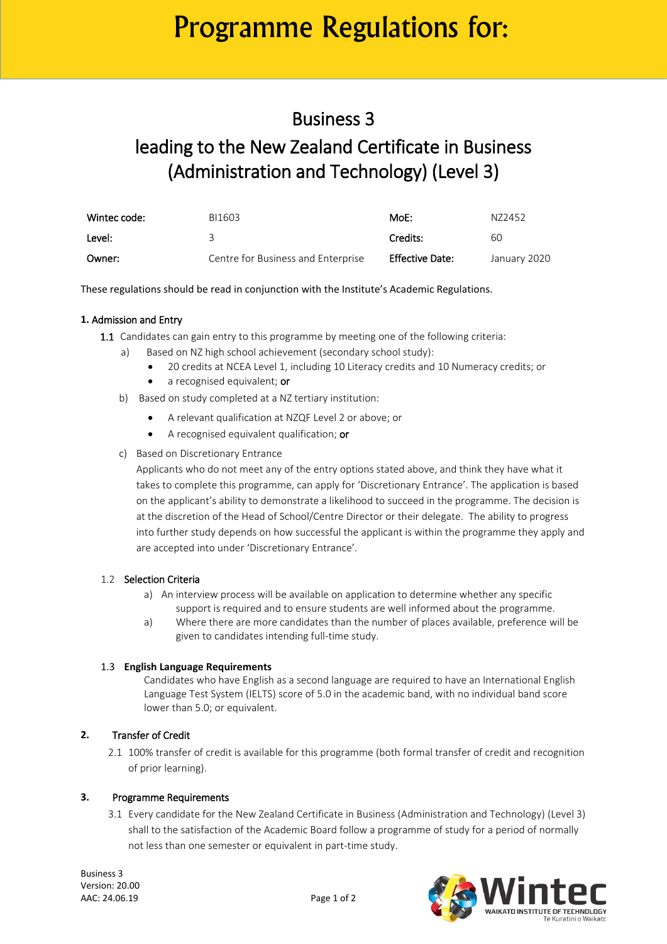# Programme Regulations for:

### Business 3

### leading to the New Zealand Certificate in Business (Administration and Technology) (Level 3)

| Wintec code: | BI1603                             | MoE:                   | N72452       |
|--------------|------------------------------------|------------------------|--------------|
| Level:       |                                    | Credits:               | 60           |
| Owner:       | Centre for Business and Enterprise | <b>Effective Date:</b> | January 2020 |

These regulations should be read in conjunction with the Institute's Academic Regulations.

#### **1.** Admission and Entry

- 1.1 Candidates can gain entry to this programme by meeting one of the following criteria:
	- a) Based on NZ high school achievement (secondary school study):
		- 20 credits at NCEA Level 1, including 10 Literacy credits and 10 Numeracy credits; or
		- a recognised equivalent; or
	- b) Based on study completed at a NZ tertiary institution:
		- A relevant qualification at NZQF Level 2 or above; or
		- A recognised equivalent qualification; or
	- c) Based on Discretionary Entrance

Applicants who do not meet any of the entry options stated above, and think they have what it takes to complete this programme, can apply for 'Discretionary Entrance'. The application is based on the applicant's ability to demonstrate a likelihood to succeed in the programme. The decision is at the discretion of the Head of School/Centre Director or their delegate. The ability to progress into further study depends on how successful the applicant is within the programme they apply and are accepted into under 'Discretionary Entrance'.

#### 1.2 Selection Criteria

- a) An interview process will be available on application to determine whether any specific support is required and to ensure students are well informed about the programme.
- a) Where there are more candidates than the number of places available, preference will be given to candidates intending full-time study.

#### 1.3 **English Language Requirements**

Candidates who have English as a second language are required to have an International English Language Test System (IELTS) score of 5.0 in the academic band, with no individual band score lower than 5.0; or equivalent.

#### **2.** Transfer of Credit

2.1 100% transfer of credit is available for this programme (both formal transfer of credit and recognition of prior learning).

#### **3.** Programme Requirements

3.1 Every candidate for the New Zealand Certificate in Business (Administration and Technology) (Level 3) shall to the satisfaction of the Academic Board follow a programme of study for a period of normally not less than one semester or equivalent in part-time study.

Business 3 Version: 20.00 AAC: 24.06.19 Page 1 of 2